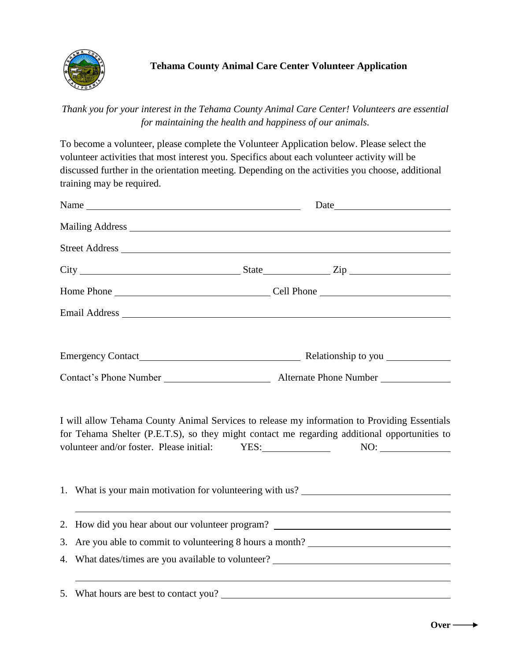

*Thank you for your interest in the Tehama County Animal Care Center! Volunteers are essential for maintaining the health and happiness of our animals.*

To become a volunteer, please complete the Volunteer Application below. Please select the volunteer activities that most interest you. Specifics about each volunteer activity will be discussed further in the orientation meeting. Depending on the activities you choose, additional training may be required.

| Name | Date |                                                                                                                                                                                                                                                           |  |
|------|------|-----------------------------------------------------------------------------------------------------------------------------------------------------------------------------------------------------------------------------------------------------------|--|
|      |      |                                                                                                                                                                                                                                                           |  |
|      |      |                                                                                                                                                                                                                                                           |  |
|      |      |                                                                                                                                                                                                                                                           |  |
|      |      |                                                                                                                                                                                                                                                           |  |
|      |      |                                                                                                                                                                                                                                                           |  |
|      |      |                                                                                                                                                                                                                                                           |  |
|      |      |                                                                                                                                                                                                                                                           |  |
|      |      | I will allow Tehama County Animal Services to release my information to Providing Essentials<br>for Tehama Shelter (P.E.T.S), so they might contact me regarding additional opportunities to<br>volunteer and/or foster. Please initial: YES: NO: NO: NO: |  |
|      |      | 1. What is your main motivation for volunteering with us? _______________________                                                                                                                                                                         |  |
|      |      | 2. How did you hear about our volunteer program? ________________________________                                                                                                                                                                         |  |
|      |      | 3. Are you able to commit to volunteering 8 hours a month?                                                                                                                                                                                                |  |
|      |      | 4. What dates/times are you available to volunteer? _____________________________                                                                                                                                                                         |  |
|      |      | 5. What hours are best to contact you?                                                                                                                                                                                                                    |  |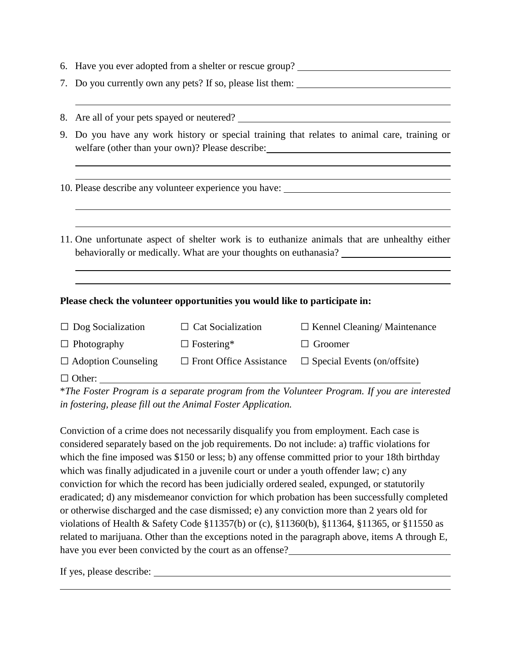- 6. Have you ever adopted from a shelter or rescue group?
- 7. Do you currently own any pets? If so, please list them:
- 8. Are all of your pets spayed or neutered?
- 9. Do you have any work history or special training that relates to animal care, training or welfare (other than your own)? Please describe:

10. Please describe any volunteer experience you have:

11. One unfortunate aspect of shelter work is to euthanize animals that are unhealthy either behaviorally or medically. What are your thoughts on euthanasia?

## **Please check the volunteer opportunities you would like to participate in:**

| $\Box$ Dog Socialization   | $\Box$ Cat Socialization       | $\Box$ Kennel Cleaning/Maintenance |
|----------------------------|--------------------------------|------------------------------------|
| $\Box$ Photography         | $\Box$ Fostering*              | $\Box$ Groomer                     |
| $\Box$ Adoption Counseling | $\Box$ Front Office Assistance | $\Box$ Special Events (on/offsite) |
| $\Box$ Other:              |                                |                                    |

\**The Foster Program is a separate program from the Volunteer Program. If you are interested in fostering, please fill out the Animal Foster Application.* 

Conviction of a crime does not necessarily disqualify you from employment. Each case is considered separately based on the job requirements. Do not include: a) traffic violations for which the fine imposed was \$150 or less; b) any offense committed prior to your 18th birthday which was finally adjudicated in a juvenile court or under a youth offender law; c) any conviction for which the record has been judicially ordered sealed, expunged, or statutorily eradicated; d) any misdemeanor conviction for which probation has been successfully completed or otherwise discharged and the case dismissed; e) any conviction more than 2 years old for violations of Health & Safety Code §11357(b) or (c), §11360(b), §11364, §11365, or §11550 as related to marijuana. Other than the exceptions noted in the paragraph above, items A through E, have you ever been convicted by the court as an offense?

If yes, please describe: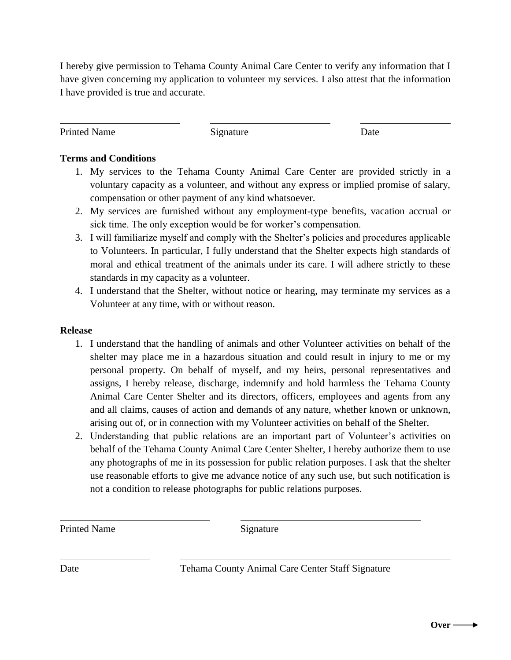I hereby give permission to Tehama County Animal Care Center to verify any information that I have given concerning my application to volunteer my services. I also attest that the information I have provided is true and accurate.

Printed Name Signature Date

## **Terms and Conditions**

- 1. My services to the Tehama County Animal Care Center are provided strictly in a voluntary capacity as a volunteer, and without any express or implied promise of salary, compensation or other payment of any kind whatsoever.
- 2. My services are furnished without any employment-type benefits, vacation accrual or sick time. The only exception would be for worker's compensation.
- 3. I will familiarize myself and comply with the Shelter's policies and procedures applicable to Volunteers. In particular, I fully understand that the Shelter expects high standards of moral and ethical treatment of the animals under its care. I will adhere strictly to these standards in my capacity as a volunteer.
- 4. I understand that the Shelter, without notice or hearing, may terminate my services as a Volunteer at any time, with or without reason.

## **Release**

- 1. I understand that the handling of animals and other Volunteer activities on behalf of the shelter may place me in a hazardous situation and could result in injury to me or my personal property. On behalf of myself, and my heirs, personal representatives and assigns, I hereby release, discharge, indemnify and hold harmless the Tehama County Animal Care Center Shelter and its directors, officers, employees and agents from any and all claims, causes of action and demands of any nature, whether known or unknown, arising out of, or in connection with my Volunteer activities on behalf of the Shelter.
- 2. Understanding that public relations are an important part of Volunteer's activities on behalf of the Tehama County Animal Care Center Shelter, I hereby authorize them to use any photographs of me in its possession for public relation purposes. I ask that the shelter use reasonable efforts to give me advance notice of any such use, but such notification is not a condition to release photographs for public relations purposes.

Printed Name Signature

Date Tehama County Animal Care Center Staff Signature